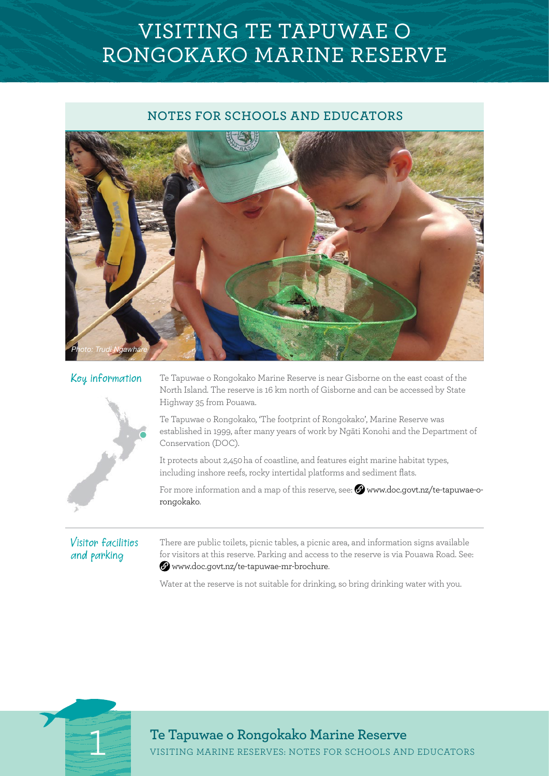# VISITING TE TAPUWAE O RONGOKAKO MARINE RESERVE

# **NOTES FOR SCHOOLS AND EDUCATORS**





Key information Te Tapuwae o Rongokako Marine Reserve is near Gisborne on the east coast of the North Island. The reserve is 16 km north of Gisborne and can be accessed by State Highway 35 from Pouawa.

> Te Tapuwae o Rongokako, 'The footprint of Rongokako', Marine Reserve was established in 1999, after many years of work by Ngāti Konohi and the Department of Conservation (DOC).

It protects about 2,450 ha of coastline, and features eight marine habitat types,  including inshore reefs, rocky intertidal platforms and sediment flats.

For more information and a map of this reserve, see:  $\circledast$  [www.doc.govt.nz/te-tapuwae-o](http://www.doc.govt.nz/te-tapuwae-o-rongokako)[rongokako](http://www.doc.govt.nz/te-tapuwae-o-rongokako).

# Visitor facilities and parking

There are public toilets, picnic tables, a picnic area, and information signs available for visitors at this reserve. Parking and access to the reserve is via Pouawa Road. See: [www.doc.govt.nz/te-tapuwae-mr-brochure.](http://www.doc.govt.nz/documents/parks-and-recreation/places-to-visit/east-coast-hawkes-bay/te-tapuwae-mr-brochure.pdf)

Water at the reserve is not suitable for drinking, so bring drinking water with you.



**1 1 VISITING MARINE RESERVES: NOTES FOR SCHOOLS AND EDUCATORS**<br> **Te Tapuwae o Rongokako Marine Reserve**<br> **Te Tapuwae o Rongokako Marine Reserve**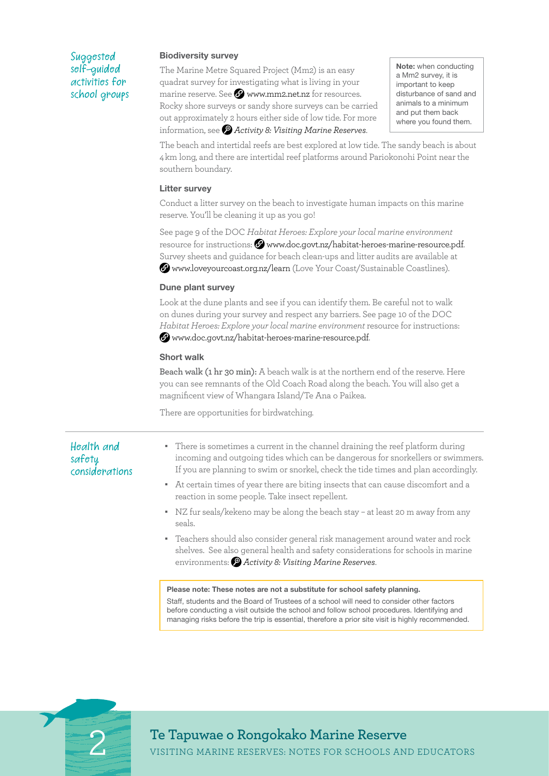## Suggested self-guided activities for school groups

### Biodiversity survey

The Marine Metre Squared Project (Mm2) is an easy quadrat survey for investigating what is living in your marine reserve. See  $\Omega$  [www.mm2.net.nz](https://www.mm2.net.nz/) for resources. Rocky shore surveys or sandy shore surveys can be carried out approximately 2 hours either side of low tide. For more information, see *[Activity 8: Visiting Marine Reserves](http://•	www.doc.govt.nz/documents/getting-involved/students-and-teachers/marine-reserves/activity-8)*.

Note: when conducting a Mm2 survey, it is important to keep disturbance of sand and animals to a minimum and put them back where you found them.

The beach and intertidal reefs are best explored at low tide. The sandy beach is about 4 km long, and there are intertidal reef platforms around Pariokonohi Point near the southern boundary.

### Litter survey

Conduct a litter survey on the beach to investigate human impacts on this marine reserve. You'll be cleaning it up as you go!

See page 9 of the DOC *Habitat Heroes: Explore your local marine environment*  resource for instructions:  $\Omega$  www.doc.govt.nz/habitat-heroes-marine-resourc[e.pdf.](http://www.doc.govt.nz/Documents/getting-involved/students-and-teachers/habitat-heroes/habitat-heroes-education-resource-marine-spaces.pdf) Survey sheets and guidance for beach clean-ups and litter audits are available at [www.loveyourcoast.org.nz/learn](http://www.loveyourcoast.org.nz/learn) (Love Your Coast/Sustainable Coastlines).

### Dune plant survey

Look at the dune plants and see if you can identify them. Be careful not to walk on dunes during your survey and respect any barriers. See page 10 of the DOC *Habitat Heroes: Explore your local marine environment* resource for instructions: www.doc.govt.nz/habitat-heroes-marine-resource[.pdf.](http://www.doc.govt.nz/Documents/getting-involved/students-and-teachers/habitat-heroes/habitat-heroes-education-resource-marine-spaces.pdf)

### Short walk

**Beach walk (1 hr 30 min):** A beach walk is at the northern end of the reserve. Here you can see remnants of the Old Coach Road along the beach. You will also get a magnificent view of Whangara Island/Te Ana o Paikea.

There are opportunities for birdwatching.

# Health and safety considerations

- There is sometimes a current in the channel draining the reef platform during incoming and outgoing tides which can be dangerous for snorkellers or swimmers. If you are planning to swim or snorkel, check the tide times and plan accordingly.
- At certain times of year there are biting insects that can cause discomfort and a reaction in some people. Take insect repellent.
- NZ fur seals/kekeno may be along the beach stay at least 20 m away from any seals.
- Teachers should also consider general risk management around water and rock shelves. See also general health and safety considerations for schools in marine environments: *[Activity 8: Visiting Marine Reserves](http://•	www.doc.govt.nz/documents/getting-involved/students-and-teachers/marine-reserves/activity-8)*.

#### Please note: These notes are not a substitute for school safety planning.

Staff, students and the Board of Trustees of a school will need to consider other factors before conducting a visit outside the school and follow school procedures. Identifying and managing risks before the trip is essential, therefore a prior site visit is highly recommended.



**2 VISITING MARINE RESERVES: NOTES FOR SCHOOLS AND EDUCATORS**